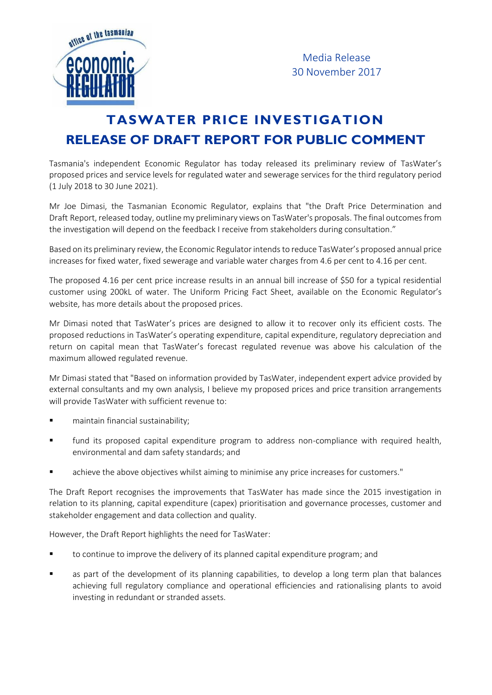

Media Release 30 November 2017

## **TASWATER PRICE INVESTIGATION RELEASE OF DRAFT REPORT FOR PUBLIC COMMENT**

Tasmania's independent Economic Regulator has today released its preliminary review of TasWater's proposed prices and service levels for regulated water and sewerage services for the third regulatory period (1 July 2018 to 30 June 2021).

Mr Joe Dimasi, the Tasmanian Economic Regulator, explains that "the Draft Price Determination and Draft Report, released today, outline my preliminary views on TasWater's proposals. The final outcomes from the investigation will depend on the feedback I receive from stakeholders during consultation."

Based on its preliminary review, the Economic Regulator intends to reduce TasWater's proposed annual price increases for fixed water, fixed sewerage and variable water charges from 4.6 per cent to 4.16 per cent.

The proposed 4.16 per cent price increase results in an annual bill increase of \$50 for a typical residential customer using 200kL of water. The Uniform Pricing Fact Sheet, available on the Economic Regulator's website, has more details about the proposed prices.

Mr Dimasi noted that TasWater's prices are designed to allow it to recover only its efficient costs. The proposed reductions in TasWater's operating expenditure, capital expenditure, regulatory depreciation and return on capital mean that TasWater's forecast regulated revenue was above his calculation of the maximum allowed regulated revenue.

Mr Dimasi stated that "Based on information provided by TasWater, independent expert advice provided by external consultants and my own analysis, I believe my proposed prices and price transition arrangements will provide TasWater with sufficient revenue to:

- maintain financial sustainability;
- fund its proposed capital expenditure program to address non-compliance with required health, environmental and dam safety standards; and
- achieve the above objectives whilst aiming to minimise any price increases for customers."

The Draft Report recognises the improvements that TasWater has made since the 2015 investigation in relation to its planning, capital expenditure (capex) prioritisation and governance processes, customer and stakeholder engagement and data collection and quality.

However, the Draft Report highlights the need for TasWater:

- to continue to improve the delivery of its planned capital expenditure program; and
- as part of the development of its planning capabilities, to develop a long term plan that balances achieving full regulatory compliance and operational efficiencies and rationalising plants to avoid investing in redundant or stranded assets.